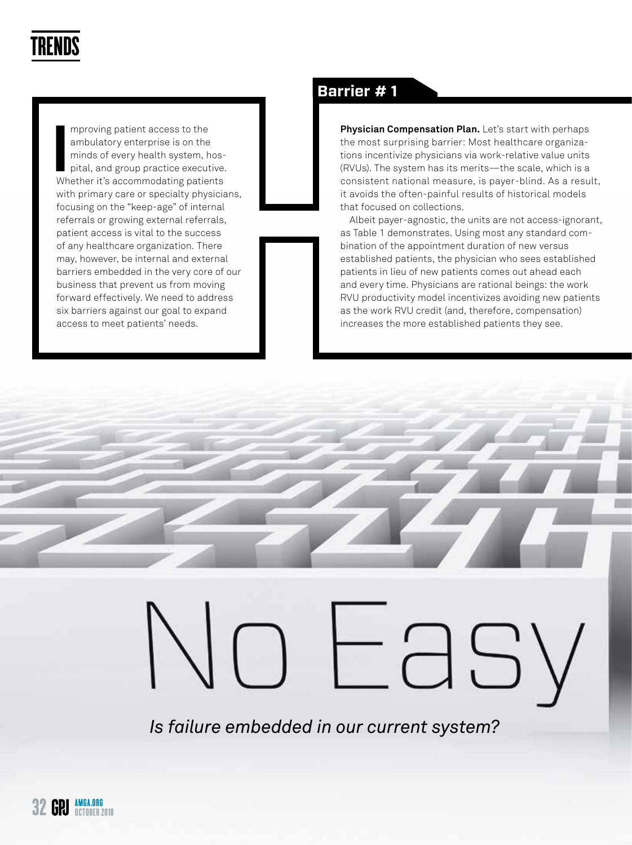

mproving patient access to the<br>
ambulatory enterprise is on the<br>
minds of every health system, hos-<br>
pital, and group practice executive.<br>
Whether it's accommodating patients mproving patient access to the ambulatory enterprise is on the minds of every health system, hospital, and group practice executive. with primary care or specialty physicians, focusing on the "keep-age" of internal referrals or growing external referrals, patient access is vital to the success of any healthcare organization. There may, however, be internal and external barriers embedded in the very core of our business that prevent us from moving forward effectively. We need to address six barriers against our goal to expand access to meet patients' needs.

### **Barrier # 1**

**Physician Compensation Plan.** Let's start with perhaps the most surprising barrier: Most healthcare organizations incentivize physicians via work-relative value units (RVUs). The system has its merits—the scale, which is a consistent national measure, is payer-blind. As a result, it avoids the often-painful results of historical models that focused on collections.

Albeit payer-agnostic, the units are not access-ignorant, as Table 1 demonstrates. Using most any standard combination of the appointment duration of new versus established patients, the physician who sees established patients in lieu of new patients comes out ahead each and every time. Physicians are rational beings: the work RVU productivity model incentivizes avoiding new patients as the work RVU credit (and, therefore, compensation) increases the more established patients they see.

*Is failure embedded in our current system?*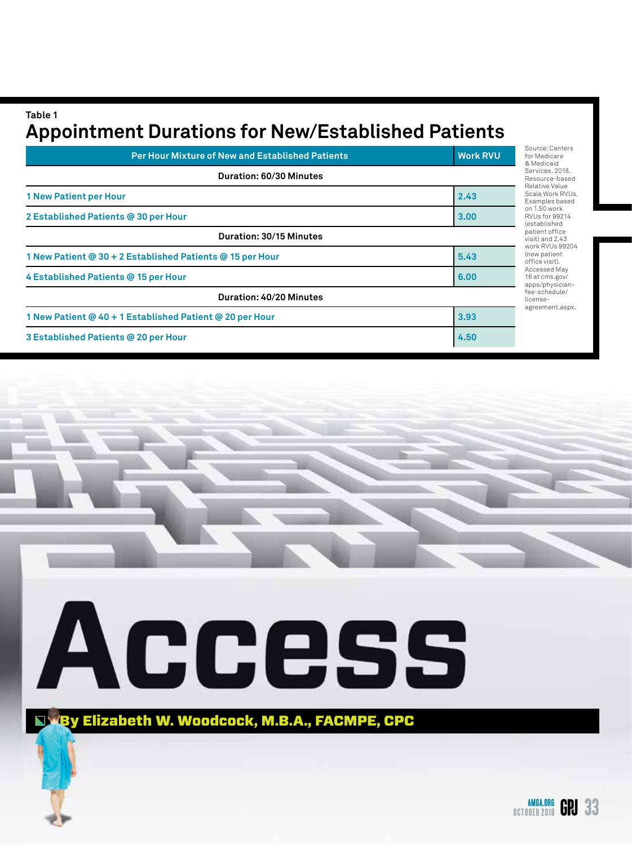**Table 1 Appointment Durations for New/Established Patients**

| <b>Per Hour Mixture of New and Established Patients</b>   | <b>Work RVU</b> | Source: Centers<br>for Medicare<br>& Medicaid                                              |
|-----------------------------------------------------------|-----------------|--------------------------------------------------------------------------------------------|
| Duration: 60/30 Minutes                                   |                 | Services, 2018.<br>Resource-based<br>Relative Value                                        |
| <b>1 New Patient per Hour</b>                             | 2.43            | Scale Work RVUs<br>Examples based<br>on 1.50 work<br>RVUs for 99214<br><i>(established</i> |
| 2 Established Patients @ 30 per Hour                      | 3.00            |                                                                                            |
| Duration: 30/15 Minutes                                   |                 | patient office<br>visit) and 2.43<br>work RVUs 99204                                       |
| 1 New Patient @ 30 + 2 Established Patients @ 15 per Hour | 5.43            | (new patient<br>office visit).<br>Accessed May<br>16 at cms.gov/<br>apps/physician-        |
| 4 Established Patients @ 15 per Hour                      | 6.00            |                                                                                            |
| Duration: 40/20 Minutes                                   |                 | fee-schedule/<br>license-                                                                  |
| 1 New Patient @ 40 + 1 Established Patient @ 20 per Hour  | 3.93            | agreement.aspx.                                                                            |
| 3 Established Patients @ 20 per Hour                      | 4.50            |                                                                                            |

# Access

By Elizabeth W. Woodcock, M.B.A., FACMPE, CPC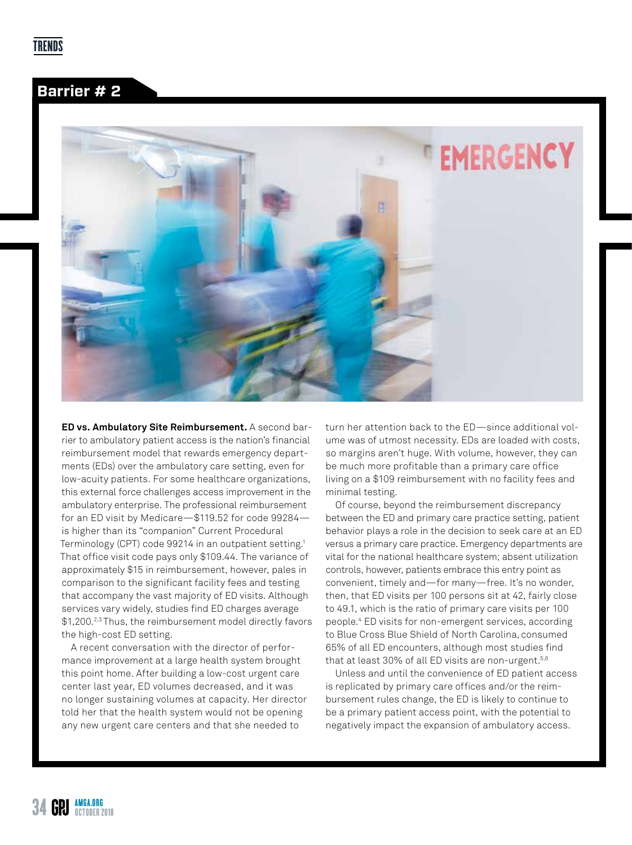#### **Barrier # 2**



**ED vs. Ambulatory Site Reimbursement.** A second barrier to ambulatory patient access is the nation's financial reimbursement model that rewards emergency departments (EDs) over the ambulatory care setting, even for low-acuity patients. For some healthcare organizations, this external force challenges access improvement in the ambulatory enterprise. The professional reimbursement for an ED visit by Medicare—\$119.52 for code 99284 is higher than its "companion" Current Procedural Terminology (CPT) code 99214 in an outpatient setting.1 That office visit code pays only \$109.44. The variance of approximately \$15 in reimbursement, however, pales in comparison to the significant facility fees and testing that accompany the vast majority of ED visits. Although services vary widely, studies find ED charges average \$1,200.2,3 Thus, the reimbursement model directly favors the high-cost ED setting.

A recent conversation with the director of performance improvement at a large health system brought this point home. After building a low-cost urgent care center last year, ED volumes decreased, and it was no longer sustaining volumes at capacity. Her director told her that the health system would not be opening any new urgent care centers and that she needed to

turn her attention back to the ED—since additional volume was of utmost necessity. EDs are loaded with costs, so margins aren't huge. With volume, however, they can be much more profitable than a primary care office living on a \$109 reimbursement with no facility fees and minimal testing.

Of course, beyond the reimbursement discrepancy between the ED and primary care practice setting, patient behavior plays a role in the decision to seek care at an ED versus a primary care practice. Emergency departments are vital for the national healthcare system; absent utilization controls, however, patients embrace this entry point as convenient, timely and—for many—free. It's no wonder, then, that ED visits per 100 persons sit at 42, fairly close to 49.1, which is the ratio of primary care visits per 100 people.4 ED visits for non-emergent services, according to Blue Cross Blue Shield of North Carolina, consumed 65% of all ED encounters, although most studies find that at least 30% of all ED visits are non-urgent.<sup>5,6</sup>

Unless and until the convenience of ED patient access is replicated by primary care offices and/or the reimbursement rules change, the ED is likely to continue to be a primary patient access point, with the potential to negatively impact the expansion of ambulatory access.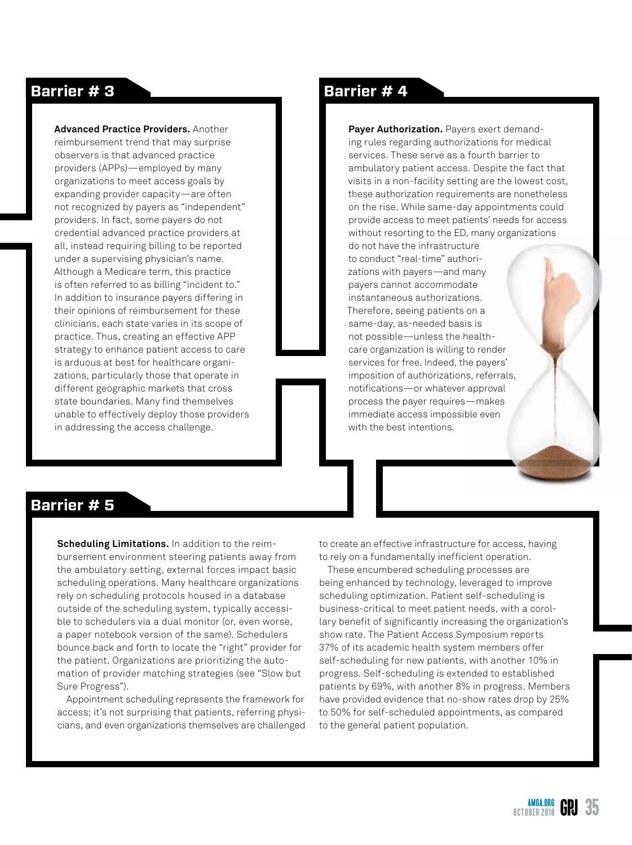**Advanced Practice Providers.** Another reimbursement trend that may surprise observers is that advanced practice providers (APPs)—employed by many organizations to meet access goals by expanding provider capacity—are often not recognized by payers as "independent" providers. In fact, some payers do not credential advanced practice providers at all, instead requiring billing to be reported under a supervising physician's name. Although a Medicare term, this practice is often referred to as billing "incident to." In addition to insurance payers differing in their opinions of reimbursement for these clinicians, each state varies in its scope of practice. Thus, creating an effective APP strategy to enhance patient access to care is arduous at best for healthcare organizations, particularly those that operate in different geographic markets that cross state boundaries. Many find themselves unable to effectively deploy those providers in addressing the access challenge.

#### **Barrier # 3 Barrier # 4**

**Payer Authorization.** Payers exert demanding rules regarding authorizations for medical services. These serve as a fourth barrier to ambulatory patient access. Despite the fact that visits in a non-facility setting are the lowest cost, these authorization requirements are nonetheless on the rise. While same-day appointments could provide access to meet patients' needs for access without resorting to the ED, many organizations do not have the infrastructure to conduct "real-time" authorizations with payers—and many payers cannot accommodate instantaneous authorizations. Therefore, seeing patients on a same-day, as-needed basis is not possible—unless the healthcare organization is willing to render services for free. Indeed, the payers' imposition of authorizations, referrals, notifications—or whatever approval process the payer requires—makes immediate access impossible even with the best intentions.

#### **Barrier # 5**

**Scheduling Limitations.** In addition to the reimbursement environment steering patients away from the ambulatory setting, external forces impact basic scheduling operations. Many healthcare organizations rely on scheduling protocols housed in a database outside of the scheduling system, typically accessible to schedulers via a dual monitor (or, even worse, a paper notebook version of the same). Schedulers bounce back and forth to locate the "right" provider for the patient. Organizations are prioritizing the automation of provider matching strategies (see "Slow but Sure Progress").

Appointment scheduling represents the framework for access; it's not surprising that patients, referring physicians, and even organizations themselves are challenged to create an effective infrastructure for access, having to rely on a fundamentally inefficient operation.

These encumbered scheduling processes are being enhanced by technology, leveraged to improve scheduling optimization. Patient self-scheduling is business-critical to meet patient needs, with a corollary benefit of significantly increasing the organization's show rate. The Patient Access Symposium reports 37% of its academic health system members offer self-scheduling for new patients, with another 10% in progress. Self-scheduling is extended to established patients by 69%, with another 8% in progress. Members have provided evidence that no-show rates drop by 25% to 50% for self-scheduled appointments, as compared to the general patient population.